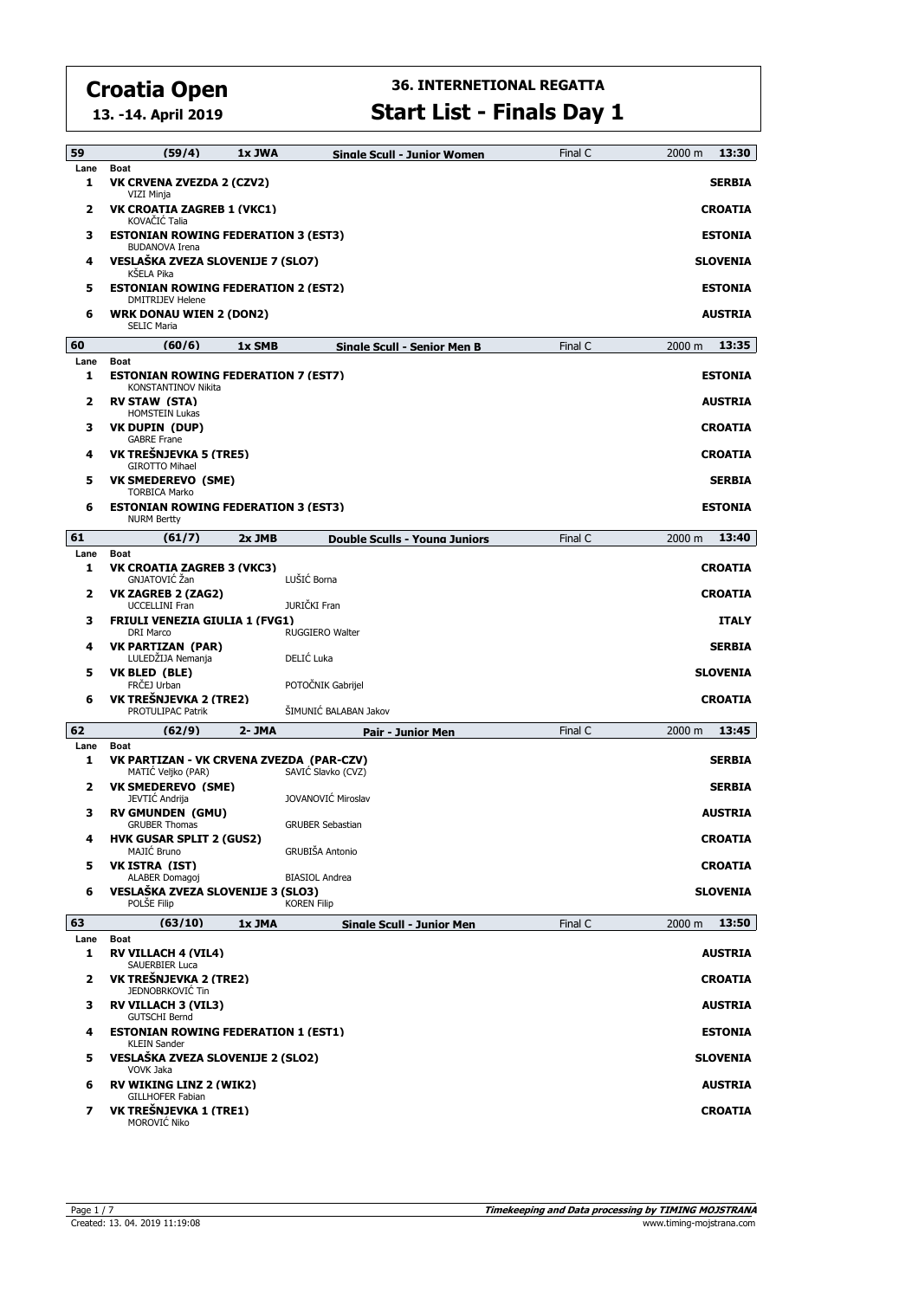**13. -14. April 2019**

#### **36. INTERNETIONAL REGATTA Start List - Finals Day 1**

| 59           | (59/4)                                                                | 1x JWA         | <b>Single Scull - Junior Women</b>         | Final C | 13:30<br>2000 m |  |  |
|--------------|-----------------------------------------------------------------------|----------------|--------------------------------------------|---------|-----------------|--|--|
| Lane<br>1    | <b>Boat</b><br>VK CRVENA ZVEZDA 2 (CZV2)<br>VIZI Minja                |                |                                            |         | <b>SERBIA</b>   |  |  |
| 2            | VK CROATIA ZAGREB 1 (VKC1)<br>KOVAČIĆ Talia                           |                |                                            |         |                 |  |  |
| з            | <b>ESTONIAN ROWING FEDERATION 3 (EST3)</b><br><b>BUDANOVA Irena</b>   | <b>ESTONIA</b> |                                            |         |                 |  |  |
| 4            | VESLAŠKA ZVEZA SLOVENIJE 7 (SLO7)<br>KŠELA Pika                       |                |                                            |         | <b>SLOVENIA</b> |  |  |
| 5            | <b>ESTONIAN ROWING FEDERATION 2 (EST2)</b><br><b>DMITRIJEV Helene</b> |                |                                            |         | <b>ESTONIA</b>  |  |  |
| 6            | <b>WRK DONAU WIEN 2 (DON2)</b><br><b>SELIC Maria</b>                  |                |                                            |         | <b>AUSTRIA</b>  |  |  |
| 60           | (60/6)                                                                | 1x SMB         | <b>Single Scull - Senior Men B</b>         | Final C | 13:35<br>2000 m |  |  |
| Lane<br>1    | Boat<br><b>ESTONIAN ROWING FEDERATION 7 (EST7)</b>                    |                |                                            |         | <b>ESTONIA</b>  |  |  |
| 2            | KONSTANTINOV Nikita<br><b>RV STAW (STA)</b>                           |                |                                            |         | <b>AUSTRIA</b>  |  |  |
| з            | <b>HOMSTEIN Lukas</b><br>VK DUPIN (DUP)                               |                |                                            |         | <b>CROATIA</b>  |  |  |
| 4            | <b>GABRE Frane</b><br>VK TREŠNJEVKA 5 (TRE5)<br><b>GIROTTO Mihael</b> |                |                                            |         | <b>CROATIA</b>  |  |  |
| 5            | <b>VK SMEDEREVO (SME)</b><br><b>TORBICA Marko</b>                     |                |                                            |         | <b>SERBIA</b>   |  |  |
| 6            | <b>ESTONIAN ROWING FEDERATION 3 (EST3)</b><br><b>NURM Bertty</b>      |                |                                            |         | <b>ESTONIA</b>  |  |  |
| 61           | (61/7)                                                                | 2x JMB         | <b>Double Sculls - Young Juniors</b>       | Final C | 2000 m<br>13:40 |  |  |
| Lane         | Boat                                                                  |                |                                            |         |                 |  |  |
| 1            | VK CROATIA ZAGREB 3 (VKC3)<br>GNJATOVIĆ Žan                           |                | LUŠIĆ Borna                                |         | <b>CROATIA</b>  |  |  |
| $\mathbf{z}$ | <b>VK ZAGREB 2 (ZAG2)</b><br><b>UCCELLINI Fran</b>                    |                | JURIČKI Fran                               |         | <b>CROATIA</b>  |  |  |
| з            | <b>FRIULI VENEZIA GIULIA 1 (FVG1)</b><br><b>DRI Marco</b>             |                | RUGGIERO Walter                            |         | <b>ITALY</b>    |  |  |
| 4            | <b>VK PARTIZAN (PAR)</b>                                              |                |                                            |         | <b>SERBIA</b>   |  |  |
|              | LULEDŽIJA Nemanja                                                     |                | DELIĆ Luka                                 |         |                 |  |  |
| 5            | VK BLED (BLE)                                                         |                |                                            |         | <b>SLOVENIA</b> |  |  |
| 6            | FRCEJ Urban<br>VK TREŠNJEVKA 2 (TRE2)<br>PROTULIPAC Patrik            |                | POTOČNIK Gabrijel<br>ŠIMUNIĆ BALABAN Jakov |         | <b>CROATIA</b>  |  |  |
| 62           | (62/9)                                                                | 2- JMA         | <b>Pair - Junior Men</b>                   | Final C | 13:45<br>2000 m |  |  |
| Lane         | <b>Boat</b>                                                           |                |                                            |         |                 |  |  |
| 1            | VK PARTIZAN - VK CRVENA ZVEZDA (PAR-CZV)<br>MATIC Veljko (PAR)        |                | SAVIČ Slavko (CVZ)                         |         | <b>SERBIA</b>   |  |  |
| 2            | <b>VK SMEDEREVO (SME)</b><br>JEVTIĆ Andrija                           |                | JOVANOVIĆ Miroslav                         |         | <b>SERBIA</b>   |  |  |
| з            | <b>RV GMUNDEN (GMU)</b><br><b>GRUBER Thomas</b>                       |                | <b>GRUBER Sebastian</b>                    |         | <b>AUSTRIA</b>  |  |  |
|              | <b>HVK GUSAR SPLIT 2 (GUS2)</b><br>MAJIĆ Bruno                        |                | GRUBIŠA Antonio                            |         | <b>CROATIA</b>  |  |  |
| 5            | <b>VK ISTRA (IST)</b><br>ALABER Domagoj                               |                | <b>BIASIOL Andrea</b>                      |         | <b>CROATIA</b>  |  |  |
| 6            | VESLAŠKA ZVEZA SLOVENIJE 3 (SLO3)<br>POLŠE Filip                      |                | <b>KOREN Filip</b>                         |         | <b>SLOVENIA</b> |  |  |
| 63           | (63/10)                                                               | 1x JMA         | <b>Single Scull - Junior Men</b>           | Final C | 2000 m<br>13:50 |  |  |
| Lane<br>1    | <b>Boat</b><br><b>RV VILLACH 4 (VIL4)</b>                             |                |                                            |         | <b>AUSTRIA</b>  |  |  |
| 2            | SAUERBIER Luca<br>VK TREŠNJEVKA 2 (TRE2)                              |                |                                            |         | <b>CROATIA</b>  |  |  |
| з            | JEDNOBRKOVIĆ Tin<br><b>RV VILLACH 3 (VIL3)</b>                        |                |                                            |         | <b>AUSTRIA</b>  |  |  |
| 4            | <b>GUTSCHI Bernd</b><br><b>ESTONIAN ROWING FEDERATION 1 (EST1)</b>    |                |                                            |         | <b>ESTONIA</b>  |  |  |
| 5            | <b>KLEIN Sander</b><br>VESLAŠKA ZVEZA SLOVENIJE 2 (SLO2)              |                |                                            |         | <b>SLOVENIA</b> |  |  |
| 6            | VOVK Jaka<br><b>RV WIKING LINZ 2 (WIK2)</b><br>GILLHOFER Fabian       |                |                                            |         | <b>AUSTRIA</b>  |  |  |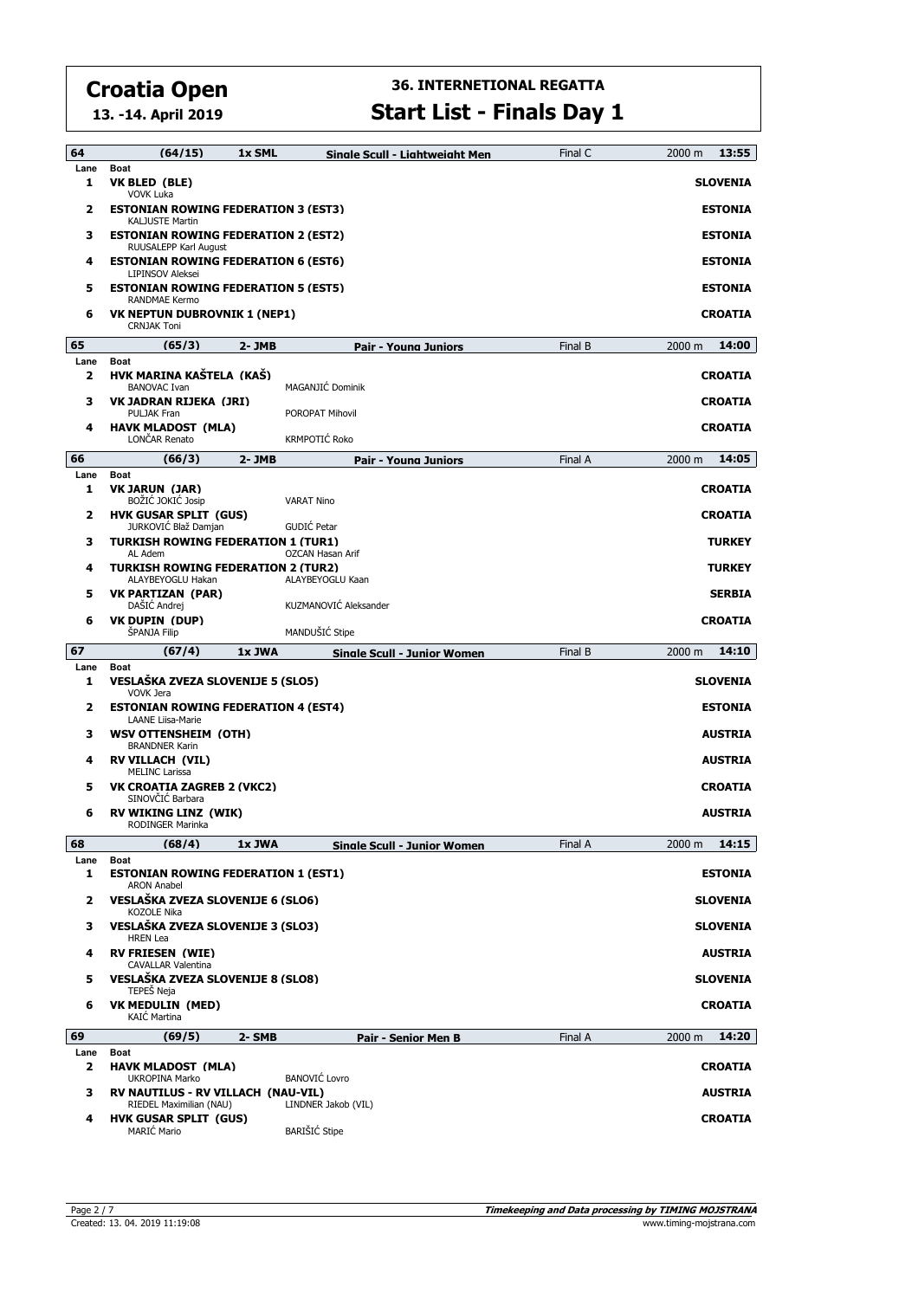**13. -14. April 2019**

#### **36. INTERNETIONAL REGATTA Start List - Finals Day 1**

| 64                              | (64/15)                                                                                      | 1x SML    | Sinale Scull - Liahtweiaht Men              | Final C | 2000 m<br>13:55                   |  |  |  |
|---------------------------------|----------------------------------------------------------------------------------------------|-----------|---------------------------------------------|---------|-----------------------------------|--|--|--|
| Lane<br>1                       | <b>Boat</b><br>VK BLED (BLE)<br><b>VOVK Luka</b>                                             |           |                                             |         | <b>SLOVENIA</b>                   |  |  |  |
| 2                               | <b>ESTONIAN ROWING FEDERATION 3 (EST3)</b><br><b>KALJUSTE Martin</b>                         |           |                                             |         | <b>ESTONIA</b>                    |  |  |  |
| з                               | <b>ESTONIAN ROWING FEDERATION 2 (EST2)</b><br>RUUSALEPP Karl August                          |           |                                             |         |                                   |  |  |  |
| 4                               | <b>ESTONIAN ROWING FEDERATION 6 (EST6)</b><br><b>LIPINSOV Aleksei</b>                        |           |                                             |         | <b>ESTONIA</b>                    |  |  |  |
| 5                               | <b>ESTONIAN ROWING FEDERATION 5 (EST5)</b><br><b>RANDMAE Kermo</b>                           |           |                                             |         | <b>ESTONIA</b>                    |  |  |  |
| 6                               | <b>VK NEPTUN DUBROVNIK 1 (NEP1)</b><br><b>CRNJAK Toni</b>                                    |           |                                             |         | <b>CROATIA</b>                    |  |  |  |
| 65                              | (65/3)                                                                                       | 2-JMB     | Pair - Young Juniors                        | Final B | 14:00<br>2000 m                   |  |  |  |
| Lane<br>$\overline{\mathbf{2}}$ | <b>Boat</b><br>HVK MARINA KAŠTELA (KAŠ)                                                      |           |                                             |         | <b>CROATIA</b>                    |  |  |  |
| з                               | <b>BANOVAC Ivan</b><br>VK JADRAN RIJEKA (JRI)                                                |           | MAGANJIĆ Dominik                            |         | <b>CROATIA</b>                    |  |  |  |
| 4                               | <b>PULJAK Fran</b><br><b>HAVK MLADOST (MLA)</b>                                              |           | POROPAT Mihovil                             |         | <b>CROATIA</b>                    |  |  |  |
|                                 | LONČAR Renato                                                                                |           | KRMPOTIĆ Roko                               |         |                                   |  |  |  |
| 66<br>Lane                      | (66/3)                                                                                       | $2 - JMB$ | Pair - Young Juniors                        | Final A | 14:05<br>2000 m                   |  |  |  |
| 1                               | Boat<br>VK JARUN (JAR)<br>BOŽIĆ JOKIĆ Josip                                                  |           | <b>VARAT Nino</b>                           |         | <b>CROATIA</b>                    |  |  |  |
| 2                               | <b>HVK GUSAR SPLIT (GUS)</b><br>JURKOVIĆ Blaž Damjan                                         |           | GUDIĆ Petar                                 |         | <b>CROATIA</b>                    |  |  |  |
| з                               | <b>TURKISH ROWING FEDERATION 1 (TUR1)</b><br>AL Adem                                         |           | OZCAN Hasan Arif                            |         | <b>TURKEY</b>                     |  |  |  |
| 4                               | <b>TURKISH ROWING FEDERATION 2 (TUR2)</b><br>ALAYBEYOGLU Hakan                               |           | ALAYBEYOGLU Kaan                            |         | <b>TURKEY</b>                     |  |  |  |
| 5                               | <b>VK PARTIZAN (PAR)</b><br>DAŠIĆ Andrej                                                     |           | KUZMANOVIĆ Aleksander                       |         | <b>SERBIA</b>                     |  |  |  |
| 6                               | <b>VK DUPIN (DUP)</b><br>ŠPANJA Filip                                                        |           | MANDUŠIĆ Stipe                              |         | <b>CROATIA</b>                    |  |  |  |
|                                 |                                                                                              |           |                                             |         |                                   |  |  |  |
| 67                              |                                                                                              |           |                                             |         | 14:10                             |  |  |  |
| Lane                            | (67/4)<br><b>Boat</b>                                                                        | 1x JWA    | <b>Sinale Scull - Junior Women</b>          | Final B | 2000 m                            |  |  |  |
| 1<br>2                          | VESLAŠKA ZVEZA SLOVENIJE 5 (SLO5)<br>VOVK Jera<br><b>ESTONIAN ROWING FEDERATION 4 (EST4)</b> |           |                                             |         | <b>SLOVENIA</b><br><b>ESTONIA</b> |  |  |  |
| 3                               | <b>LAANE Liisa-Marie</b><br><b>WSV OTTENSHEIM (OTH)</b>                                      |           |                                             |         | <b>AUSTRIA</b>                    |  |  |  |
| 4                               | <b>BRANDNER Karin</b><br><b>RV VILLACH (VIL)</b>                                             |           |                                             |         | <b>AUSTRIA</b>                    |  |  |  |
| 5                               | <b>MELINC Larissa</b><br><b>VK CROATIA ZAGREB 2 (VKC2)</b>                                   |           |                                             |         | <b>CROATIA</b>                    |  |  |  |
| 6                               | SINOVČIĆ Barbara<br><b>RV WIKING LINZ (WIK)</b>                                              |           |                                             |         | <b>AUSTRIA</b>                    |  |  |  |
|                                 | RODINGER Marinka                                                                             |           |                                             |         |                                   |  |  |  |
| 68                              | (68/4)                                                                                       | 1x JWA    | Single Scull - Junior Women                 | Final A | 2000 m<br>14:15                   |  |  |  |
| Lane<br>1                       | Boat<br><b>ESTONIAN ROWING FEDERATION 1 (EST1)</b>                                           |           |                                             |         | <b>ESTONIA</b>                    |  |  |  |
| 2                               | <b>ARON Anabel</b><br>VESLAŠKA ZVEZA SLOVENIJE 6 (SLO6)                                      |           |                                             |         | <b>SLOVENIA</b>                   |  |  |  |
| з                               | <b>KOZOLE Nika</b><br>VESLAŠKA ZVEZA SLOVENIJE 3 (SLO3)                                      |           |                                             |         | <b>SLOVENIA</b>                   |  |  |  |
| 4                               | <b>HREN</b> Lea<br><b>RV FRIESEN (WIE)</b>                                                   |           |                                             |         | <b>AUSTRIA</b>                    |  |  |  |
| 5                               | <b>CAVALLAR Valentina</b><br>VESLAŠKA ZVEZA SLOVENIJE 8 (SLO8)                               |           |                                             |         | <b>SLOVENIA</b>                   |  |  |  |
| 6                               | TEPEŠ Neja<br><b>VK MEDULIN (MED)</b><br><b>KAIC Martina</b>                                 |           |                                             |         | <b>CROATIA</b>                    |  |  |  |
| 69                              | (69/5)                                                                                       | 2-SMB     | <b>Pair - Senior Men B</b>                  | Final A | 14:20<br>2000 m                   |  |  |  |
| Lane<br>2                       | <b>Boat</b><br><b>HAVK MLADOST (MLA)</b>                                                     |           |                                             |         | <b>CROATIA</b>                    |  |  |  |
| з                               | <b>UKROPINA Marko</b><br>RV NAUTILUS - RV VILLACH (NAU-VIL)                                  |           | <b>BANOVIĆ Lovro</b>                        |         | <b>AUSTRIA</b>                    |  |  |  |
| 4                               | RIEDEL Maximilian (NAU)<br><b>HVK GUSAR SPLIT (GUS)</b><br><b>MARIĆ Mario</b>                |           | LINDNER Jakob (VIL)<br><b>BARIŠIĆ Stipe</b> |         | <b>CROATIA</b>                    |  |  |  |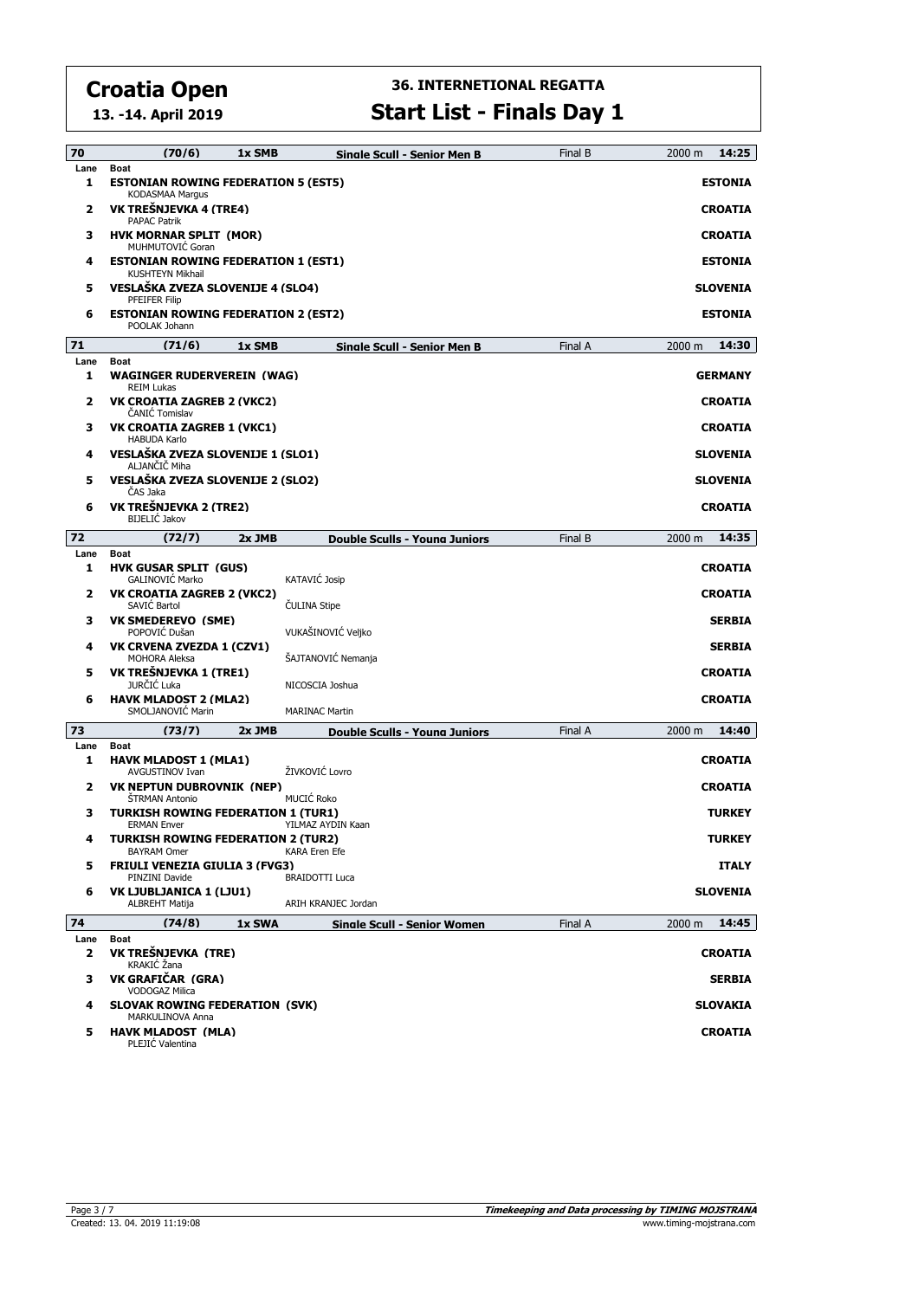**13. -14. April 2019**

# **36. INTERNETIONAL REGATTA**

| <b>Start List - Finals Day 1</b> |  |
|----------------------------------|--|
|----------------------------------|--|

| 70        | (70/6)<br>1x SMB                                                                                             | Sinale Scull - Senior Men B          | Final B | 2000 m<br>14:25                |  |  |  |
|-----------|--------------------------------------------------------------------------------------------------------------|--------------------------------------|---------|--------------------------------|--|--|--|
| Lane<br>1 | <b>Boat</b><br><b>ESTONIAN ROWING FEDERATION 5 (EST5)</b><br><b>KODASMAA Marqus</b>                          |                                      |         | <b>ESTONIA</b>                 |  |  |  |
| 2         | VK TREŠNJEVKA 4 (TRE4)<br><b>PAPAC Patrik</b>                                                                |                                      |         | <b>CROATIA</b>                 |  |  |  |
| з         | <b>HVK MORNAR SPLIT (MOR)</b><br>MUHMUTOVIĆ Goran                                                            |                                      |         |                                |  |  |  |
| 4         | <b>ESTONIAN ROWING FEDERATION 1 (EST1)</b><br>KUSHTEYN Mikhail                                               |                                      |         | <b>ESTONIA</b>                 |  |  |  |
| 5         | VESLAŠKA ZVEZA SLOVENIJE 4 (SLO4)<br><b>PFEIFER Filip</b>                                                    |                                      |         | <b>SLOVENIA</b>                |  |  |  |
| 6         | <b>ESTONIAN ROWING FEDERATION 2 (EST2)</b><br>POOLAK Johann                                                  |                                      |         | <b>ESTONIA</b>                 |  |  |  |
| 71        | (71/6)<br>1x SMB                                                                                             | <b>Single Scull - Senior Men B</b>   | Final A | 14:30<br>2000 m                |  |  |  |
| Lane<br>1 | <b>Boat</b><br>WAGINGER RUDERVEREIN (WAG)<br><b>REIM Lukas</b>                                               |                                      |         | <b>GERMANY</b>                 |  |  |  |
| 2         | VK CROATIA ZAGREB 2 (VKC2)<br>ČANIĆ Tomislav                                                                 |                                      |         | <b>CROATIA</b>                 |  |  |  |
| з         | <b>VK CROATIA ZAGREB 1 (VKC1)</b><br><b>HABUDA Karlo</b>                                                     |                                      |         | <b>CROATIA</b>                 |  |  |  |
| 4         | VESLAŠKA ZVEZA SLOVENIJE 1 (SLO1)<br>ALJANČIČ Miha                                                           |                                      |         | <b>SLOVENIA</b>                |  |  |  |
| 5         | VESLAŠKA ZVEZA SLOVENIJE 2 (SLO2)<br>ČAS Jaka                                                                |                                      |         | <b>SLOVENIA</b>                |  |  |  |
| 6         | VK TREŠNJEVKA 2 (TRE2)<br><b>BIJELIĆ Jakov</b>                                                               |                                      |         | <b>CROATIA</b>                 |  |  |  |
| 72        | (72/7)<br>2x JMB                                                                                             | <b>Double Sculls - Young Juniors</b> | Final B | 14:35<br>2000 m                |  |  |  |
| Lane<br>1 | <b>Boat</b><br><b>HVK GUSAR SPLIT (GUS)</b>                                                                  |                                      |         | <b>CROATIA</b>                 |  |  |  |
| 2         | GALINOVIĆ Marko<br><b>VK CROATIA ZAGREB 2 (VKC2)</b><br>SAVIĆ Bartol                                         | KATAVIĆ Josip<br><b>ČULINA Stipe</b> |         | <b>CROATIA</b>                 |  |  |  |
| з         | <b>VK SMEDEREVO (SME)</b><br>POPOVIĆ Dušan                                                                   | VUKAŠINOVIĆ Veljko                   |         | <b>SERBIA</b>                  |  |  |  |
| 4         | VK CRVENA ZVEZDA 1 (CZV1)<br><b>MOHORA Aleksa</b>                                                            | ŠAJTANOVIĆ Nemanja                   |         | <b>SERBIA</b>                  |  |  |  |
| 5         | VK TREŠNJEVKA 1 (TRE1)<br><b>JURČIĆ Luka</b>                                                                 | NICOSCIA Joshua                      |         | <b>CROATIA</b>                 |  |  |  |
| 6         | <b>HAVK MLADOST 2 (MLA2)</b><br>SMOLJANOVIĆ Marin                                                            | <b>MARINAC Martin</b>                |         | <b>CROATIA</b>                 |  |  |  |
| 73        | (73/7)<br>2x JMB                                                                                             | <b>Double Sculls - Young Juniors</b> | Final A | 14:40<br>2000 m                |  |  |  |
| Lane      | <b>Boat</b>                                                                                                  |                                      |         |                                |  |  |  |
| 1         | <b>HAVK MLADOST 1 (MLA1)</b><br>AVGUSTINOV Ivan                                                              | ŽIVKOVIĆ Lovro                       |         | <b>CROATIA</b>                 |  |  |  |
| 2         | <b>VK NEPTUN DUBROVNIK (NEP)</b><br>ŠTRMAN Antonio                                                           | MUCIĆ Roko                           |         | <b>CROATIA</b>                 |  |  |  |
| з<br>4    | <b>TURKISH ROWING FEDERATION 1 (TUR1)</b><br><b>ERMAN Enver</b><br><b>TURKISH ROWING FEDERATION 2 (TUR2)</b> | YILMAZ AYDIN Kaan                    |         | <b>TURKEY</b><br><b>TURKEY</b> |  |  |  |
| 5         | <b>BAYRAM Omer</b><br><b>FRIULI VENEZIA GIULIA 3 (FVG3)</b>                                                  | <b>KARA Eren Efe</b>                 |         | <b>ITALY</b>                   |  |  |  |
| 6         | PINZINI Davide<br>VK LJUBLJANICA 1 (LJU1)                                                                    | <b>BRAIDOTTI Luca</b>                |         | <b>SLOVENIA</b>                |  |  |  |
|           | <b>ALBREHT Matija</b>                                                                                        | ARIH KRANJEC Jordan                  |         |                                |  |  |  |
| 74        | (74/8)<br>1x SWA                                                                                             | <b>Sinale Scull - Senior Women</b>   | Final A | 14:45<br>2000 m                |  |  |  |
| Lane<br>2 | Boat<br>VK TREŠNJEVKA (TRE)<br>KRAKIĆ Žana                                                                   |                                      |         | <b>CROATIA</b>                 |  |  |  |
| з         | VK GRAFIČAR (GRA)<br><b>VODOGAZ Milica</b>                                                                   |                                      |         | <b>SERBIA</b>                  |  |  |  |
| 4         | <b>SLOVAK ROWING FEDERATION (SVK)</b><br>MARKULINOVA Anna                                                    |                                      |         | <b>SLOVAKIA</b>                |  |  |  |
| 5         | <b>HAVK MLADOST (MLA)</b><br>PLEJIC Valentina                                                                |                                      |         | <b>CROATIA</b>                 |  |  |  |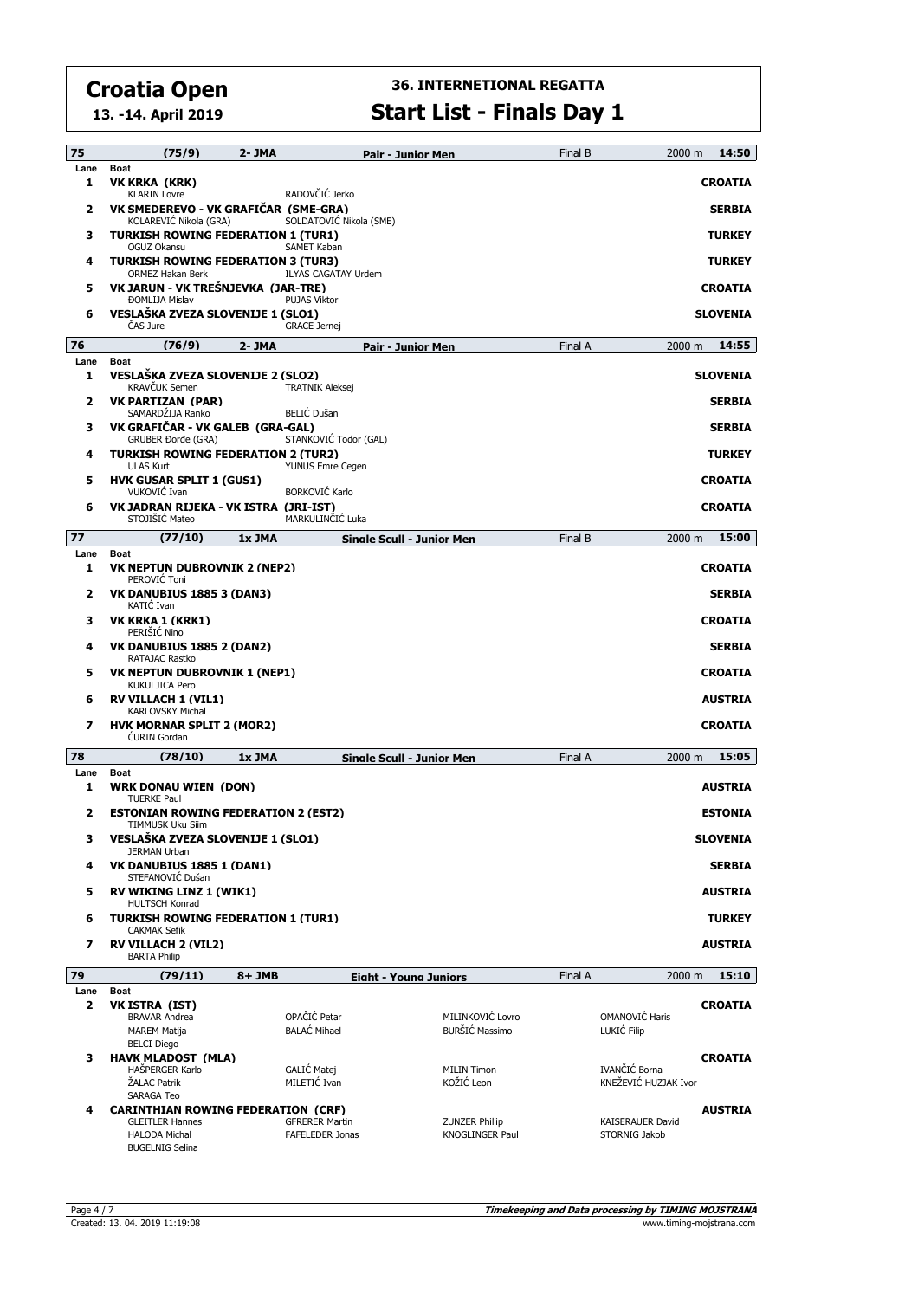**13. -14. April 2019**

## **36. INTERNETIONAL REGATTA**

**Start List - Finals Day 1**

| 75        | (75/9)                                                                   | 2- JMA  |                                                 | Pair - Junior Men                |                                                 | Final B | 2000 m                                | 14:50           |
|-----------|--------------------------------------------------------------------------|---------|-------------------------------------------------|----------------------------------|-------------------------------------------------|---------|---------------------------------------|-----------------|
| Lane<br>1 | <b>Boat</b><br>VK KRKA (KRK)<br><b>KLARIN Lovre</b>                      |         | RADOVČIĆ Jerko                                  |                                  |                                                 |         |                                       | <b>CROATIA</b>  |
| 2         | VK SMEDEREVO - VK GRAFIČAR (SME-GRA)<br>KOLAREVIĆ Nikola (GRA)           |         | SOLDATOVIC Nikola (SME)                         |                                  |                                                 |         |                                       | <b>SERBIA</b>   |
| з         | <b>TURKISH ROWING FEDERATION 1 (TUR1)</b><br>OGUZ Okansu                 |         | SAMET Kaban                                     |                                  |                                                 |         |                                       | <b>TURKEY</b>   |
| 4         | <b>TURKISH ROWING FEDERATION 3 (TUR3)</b><br><b>ORMEZ Hakan Berk</b>     |         | <b>ILYAS CAGATAY Urdem</b>                      |                                  |                                                 |         |                                       | <b>TURKEY</b>   |
| 5         | VK JARUN - VK TREŠNJEVKA (JAR-TRE)                                       |         |                                                 |                                  |                                                 |         |                                       | <b>CROATIA</b>  |
| 6         | <b>ĐOMLIJA Mislav</b><br>VESLAŠKA ZVEZA SLOVENIJE 1 (SLO1)<br>ČAS Jure   |         | <b>PUJAS Viktor</b><br><b>GRACE Jernej</b>      |                                  |                                                 |         |                                       | <b>SLOVENIA</b> |
| 76        | (76/9)                                                                   | 2- JMA  |                                                 | <b>Pair - Junior Men</b>         |                                                 | Final A | 2000 m                                | 14:55           |
| Lane<br>1 | <b>Boat</b><br>VESLAŠKA ZVEZA SLOVENIJE 2 (SLO2)                         |         |                                                 |                                  |                                                 |         |                                       | <b>SLOVENIA</b> |
|           | <b>KRAVČUK Semen</b>                                                     |         | <b>TRATNIK Aleksej</b>                          |                                  |                                                 |         |                                       |                 |
| 2         | <b>VK PARTIZAN (PAR)</b><br>SAMARDŽIJA Ranko                             |         | <b>BELIĆ Dušan</b>                              |                                  |                                                 |         |                                       | <b>SERBIA</b>   |
| з         | VK GRAFIČAR - VK GALEB (GRA-GAL)<br><b>GRUBER Đorđe (GRA)</b>            |         | STANKOVIC Todor (GAL)                           |                                  |                                                 |         |                                       | <b>SERBIA</b>   |
| 4         | <b>TURKISH ROWING FEDERATION 2 (TUR2)</b><br><b>ULAS Kurt</b>            |         | YUNUS Emre Cegen                                |                                  |                                                 |         |                                       | <b>TURKEY</b>   |
| 5         | <b>HVK GUSAR SPLIT 1 (GUS1)</b><br>VUKOVIĆ Ivan                          |         | <b>BORKOVIĆ Karlo</b>                           |                                  |                                                 |         |                                       | <b>CROATIA</b>  |
| 6         | VK JADRAN RIJEKA - VK ISTRA (JRI-IST)<br>STOJIŠIĆ Mateo                  |         | MARKULINČIĆ Luka                                |                                  |                                                 |         |                                       | <b>CROATIA</b>  |
| 77        | (77/10)                                                                  | 1x JMA  |                                                 | <b>Single Scull - Junior Men</b> |                                                 | Final B | 2000 m                                | 15:00           |
| Lane<br>1 | Boat<br><b>VK NEPTUN DUBROVNIK 2 (NEP2)</b>                              |         |                                                 |                                  |                                                 |         |                                       | <b>CROATIA</b>  |
| 2         | PEROVIĆ Toni<br><b>VK DANUBIUS 1885 3 (DAN3)</b><br>KATIC Ivan           |         |                                                 |                                  |                                                 |         |                                       | <b>SERBIA</b>   |
| з         | VK KRKA 1 (KRK1)                                                         |         |                                                 |                                  |                                                 |         |                                       | CROATIA         |
| 4         | PERIŠIĆ Nino<br><b>VK DANUBIUS 1885 2 (DAN2)</b><br>RATAJAC Rastko       |         |                                                 |                                  |                                                 |         |                                       | <b>SERBIA</b>   |
| 5         | VK NEPTUN DUBROVNIK 1 (NEP1)<br><b>KUKULJICA Pero</b>                    |         |                                                 |                                  |                                                 |         |                                       | <b>CROATIA</b>  |
| 6         | <b>RV VILLACH 1 (VIL1)</b><br><b>KARLOVSKY Michal</b>                    |         |                                                 |                                  |                                                 |         |                                       | <b>AUSTRIA</b>  |
| 7         | <b>HVK MORNAR SPLIT 2 (MOR2)</b><br><b>CURIN</b> Gordan                  |         |                                                 |                                  |                                                 |         |                                       | <b>CROATIA</b>  |
| 78        | (78/10)                                                                  | 1x JMA  |                                                 | Single Scull - Junior Men        |                                                 | Final A | 2000 m                                | 15:05           |
| Lane<br>1 | <b>Boat</b><br><b>WRK DONAU WIEN (DON)</b><br><b>TUERKE Paul</b>         |         |                                                 |                                  |                                                 |         |                                       | AUSTRIA         |
| 2         | <b>ESTONIAN ROWING FEDERATION 2 (EST2)</b><br>TIMMUSK Uku Siim           |         |                                                 |                                  |                                                 |         |                                       | <b>ESTONIA</b>  |
| з         | VESLAŠKA ZVEZA SLOVENIJE 1 (SLO1)<br><b>JERMAN Urban</b>                 |         |                                                 |                                  |                                                 |         |                                       | SLOVENIA        |
| 4         | VK DANUBIUS 1885 1 (DAN1)<br>STEFANOVIĆ Dušan                            |         |                                                 |                                  |                                                 |         |                                       | <b>SERBIA</b>   |
| 5         | <b>RV WIKING LINZ 1 (WIK1)</b><br><b>HULTSCH Konrad</b>                  |         |                                                 |                                  |                                                 |         |                                       | <b>AUSTRIA</b>  |
| 6         | <b>TURKISH ROWING FEDERATION 1 (TUR1)</b><br><b>CAKMAK Sefik</b>         |         |                                                 |                                  |                                                 |         |                                       | <b>TURKEY</b>   |
| 7         | <b>RV VILLACH 2 (VIL2)</b><br><b>BARTA Philip</b>                        |         |                                                 |                                  |                                                 |         |                                       | AUSTRIA         |
| 79        | (79/11)                                                                  | $8+JMB$ |                                                 | <b>Eight - Young Juniors</b>     |                                                 | Final A | 2000 m                                | 15:10           |
| Lane      | Boat                                                                     |         |                                                 |                                  |                                                 |         |                                       |                 |
| 2         | VK ISTRA (IST)<br><b>BRAVAR Andrea</b><br><b>MAREM Matija</b>            |         | OPAČIĆ Petar<br><b>BALAĆ Mihael</b>             |                                  | MILINKOVIĆ Lovro<br>BURŠIĆ Massimo              |         | OMANOVIĆ Haris<br>LUKIĆ Filip         | <b>CROATIA</b>  |
| з         | <b>BELCI Diego</b><br><b>HAVK MLADOST (MLA)</b>                          |         |                                                 |                                  |                                                 |         |                                       | <b>CROATIA</b>  |
|           | HAŠPERGER Karlo<br>ŽALAC Patrik                                          |         | GALIĆ Matej<br>MILETIĆ Ivan                     |                                  | <b>MILIN Timon</b><br>KOŽIĆ Leon                |         | IVANČIĆ Borna<br>KNEŽEVIĆ HUZJAK Ivor |                 |
| 4         | SARAGA Teo<br><b>CARINTHIAN ROWING FEDERATION (CRF)</b>                  |         |                                                 |                                  |                                                 |         |                                       | <b>AUSTRIA</b>  |
|           | <b>GLEITLER Hannes</b><br><b>HALODA Michal</b><br><b>BUGELNIG Selina</b> |         | <b>GFRERER Martin</b><br><b>FAFELEDER Jonas</b> |                                  | <b>ZUNZER Phillip</b><br><b>KNOGLINGER Paul</b> |         | KAISERAUER David<br>STORNIG Jakob     |                 |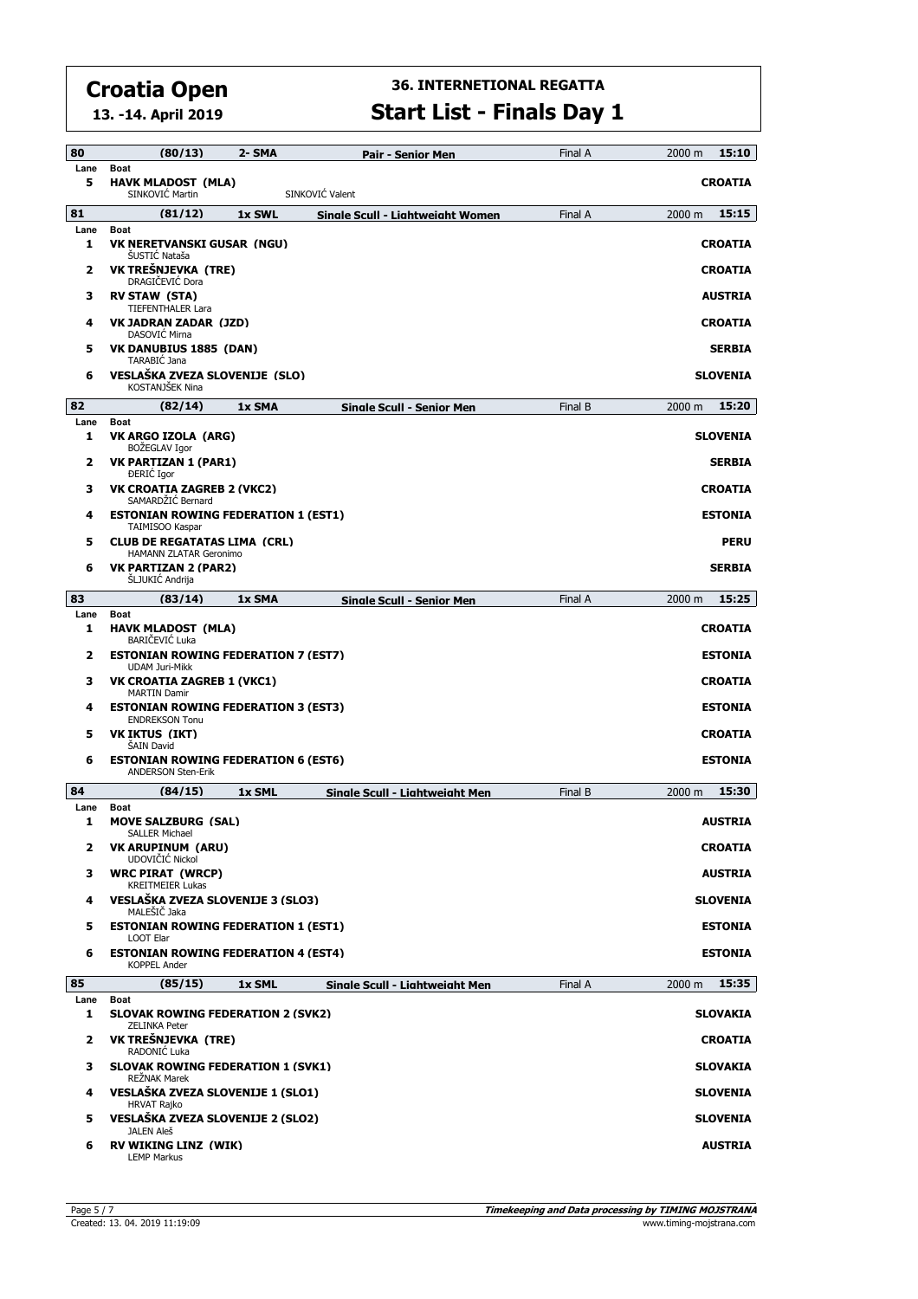**13. -14. April 2019**

#### **36. INTERNETIONAL REGATTA Start List - Finals Day 1**

| 80        | (80/13)                                                                    | 2- SMA | Pair - Senior Men                | Final A | 15:10<br>2000 m             |
|-----------|----------------------------------------------------------------------------|--------|----------------------------------|---------|-----------------------------|
| Lane<br>5 | <b>Boat</b><br><b>HAVK MLADOST (MLA)</b><br>SINKOVIC Martin                |        | SINKOVIĆ Valent                  |         | <b>CROATIA</b>              |
| 81        | (81/12)                                                                    | 1x SWL | Sinale Scull - Liahtweiaht Women | Final A | 15:15<br>2000 m             |
| Lane      | <b>Boat</b>                                                                |        |                                  |         |                             |
| 1         | VK NERETVANSKI GUSAR (NGU)<br>ŚUSTIĆ Nataša                                |        |                                  |         | <b>CROATIA</b>              |
| 2         | VK TREŠNJEVKA (TRE)<br>DRAGIČEVIĆ Dora                                     |        |                                  |         | <b>CROATIA</b>              |
| з         | <b>RV STAW (STA)</b><br><b>TIEFENTHALER Lara</b>                           |        |                                  |         | <b>AUSTRIA</b>              |
| 4         | VK JADRAN ZADAR (JZD)<br>DASOVIC Mirna                                     |        |                                  |         | <b>CROATIA</b>              |
| 5         | <b>VK DANUBIUS 1885 (DAN)</b><br>TARABIĆ Jana                              |        |                                  |         | <b>SERBIA</b>               |
| 6         | VESLAŠKA ZVEZA SLOVENIJE (SLO)<br>KOSTANJŠEK Nina                          |        |                                  |         | <b>SLOVENIA</b>             |
| 82        | (82/14)                                                                    | 1x SMA | Single Scull - Senior Men        | Final B | 15:20<br>2000 m             |
| Lane<br>1 | <b>Boat</b><br>VK ARGO IZOLA (ARG)<br>BOŽEGLAV Igor                        |        |                                  |         | <b>SLOVENIA</b>             |
| 2         | <b>VK PARTIZAN 1 (PAR1)</b><br><b>DERIC</b> Igor                           |        |                                  |         | <b>SERBIA</b>               |
| 3         | <b>VK CROATIA ZAGREB 2 (VKC2)</b><br>SAMARDŽIĆ Bernard                     |        |                                  |         | <b>CROATIA</b>              |
| 4         | <b>ESTONIAN ROWING FEDERATION 1 (EST1)</b><br>TAIMISOO Kaspar              |        |                                  |         | <b>ESTONIA</b>              |
| 5         | <b>CLUB DE REGATATAS LIMA (CRL)</b><br>HAMANN ZLATAR Geronimo              |        |                                  |         | <b>PERU</b>                 |
| 6         | <b>VK PARTIZAN 2 (PAR2)</b><br>ŚLJUKIĆ Andrija                             |        |                                  |         | <b>SERBIA</b>               |
| 83        | (83/14)                                                                    | 1x SMA | <b>Single Scull - Senior Men</b> | Final A | 15:25<br>$2000 \; \text{m}$ |
| Lane<br>1 | Boat<br><b>HAVK MLADOST (MLA)</b>                                          |        |                                  |         | <b>CROATIA</b>              |
| 2         | <b>BARIČEVIĆ Luka</b><br><b>ESTONIAN ROWING FEDERATION 7 (EST7)</b>        |        |                                  |         | <b>ESTONIA</b>              |
| з         | <b>UDAM Juri-Mikk</b><br>VK CROATIA ZAGREB 1 (VKC1)<br><b>MARTIN Damir</b> |        |                                  |         | <b>CROATIA</b>              |
| 4         | <b>ESTONIAN ROWING FEDERATION 3 (EST3)</b><br><b>ENDREKSON Tonu</b>        |        |                                  |         | <b>ESTONIA</b>              |
| 5         | <b>VK IKTUS (IKT)</b><br>ŠAIN David                                        |        |                                  |         | <b>CROATIA</b>              |
| 6         | <b>ESTONIAN ROWING FEDERATION 6 (EST6)</b><br><b>ANDERSON Sten-Erik</b>    |        |                                  |         | <b>ESTONIA</b>              |
| 84        | (84/15)                                                                    | 1x SML | Single Scull - Lightweight Men   | Final B | 15:30<br>2000 m             |
| Lane<br>1 | Boat<br><b>MOVE SALZBURG (SAL)</b>                                         |        |                                  |         | <b>AUSTRIA</b>              |
| 2         | <b>SALLER Michael</b><br>VK ARUPINUM (ARU)<br>UDOVIČIĆ Nickol              |        |                                  |         | <b>CROATIA</b>              |
| з         | <b>WRC PIRAT (WRCP)</b><br><b>KREITMEIER Lukas</b>                         |        |                                  |         | <b>AUSTRIA</b>              |
| 4         | VESLAŠKA ZVEZA SLOVENIJE 3 (SLO3)<br>MALEŠIČ Jaka                          |        |                                  |         | <b>SLOVENIA</b>             |
| 5         | <b>ESTONIAN ROWING FEDERATION 1 (EST1)</b><br><b>LOOT Elar</b>             |        |                                  |         | <b>ESTONIA</b>              |
| 6         | <b>ESTONIAN ROWING FEDERATION 4 (EST4)</b><br><b>KOPPEL Ander</b>          |        |                                  |         | <b>ESTONIA</b>              |
| 85        | (85/15)                                                                    | 1x SML | Single Scull - Lightweight Men   | Final A | 15:35<br>2000 m             |
| Lane<br>1 | Boat<br><b>SLOVAK ROWING FEDERATION 2 (SVK2)</b><br><b>ZELINKA Peter</b>   |        |                                  |         | SLOVAKIA                    |
| 2         | VK TREŠNJEVKA (TRE)<br>RADONIC Luka                                        |        |                                  |         | <b>CROATIA</b>              |
| з         | <b>SLOVAK ROWING FEDERATION 1 (SVK1)</b><br><b>REŽNAK Marek</b>            |        |                                  |         | <b>SLOVAKIA</b>             |
| 4         | VESLAŠKA ZVEZA SLOVENIJE 1 (SLO1)<br><b>HRVAT Rajko</b>                    |        |                                  |         | <b>SLOVENIA</b>             |
| 5         | VESLAŠKA ZVEZA SLOVENIJE 2 (SLO2)<br>JALEN Aleš                            |        |                                  |         | <b>SLOVENIA</b>             |
| 6         | <b>RV WIKING LINZ (WIK)</b>                                                |        |                                  |         | <b>AUSTRIA</b>              |

LEMP Markus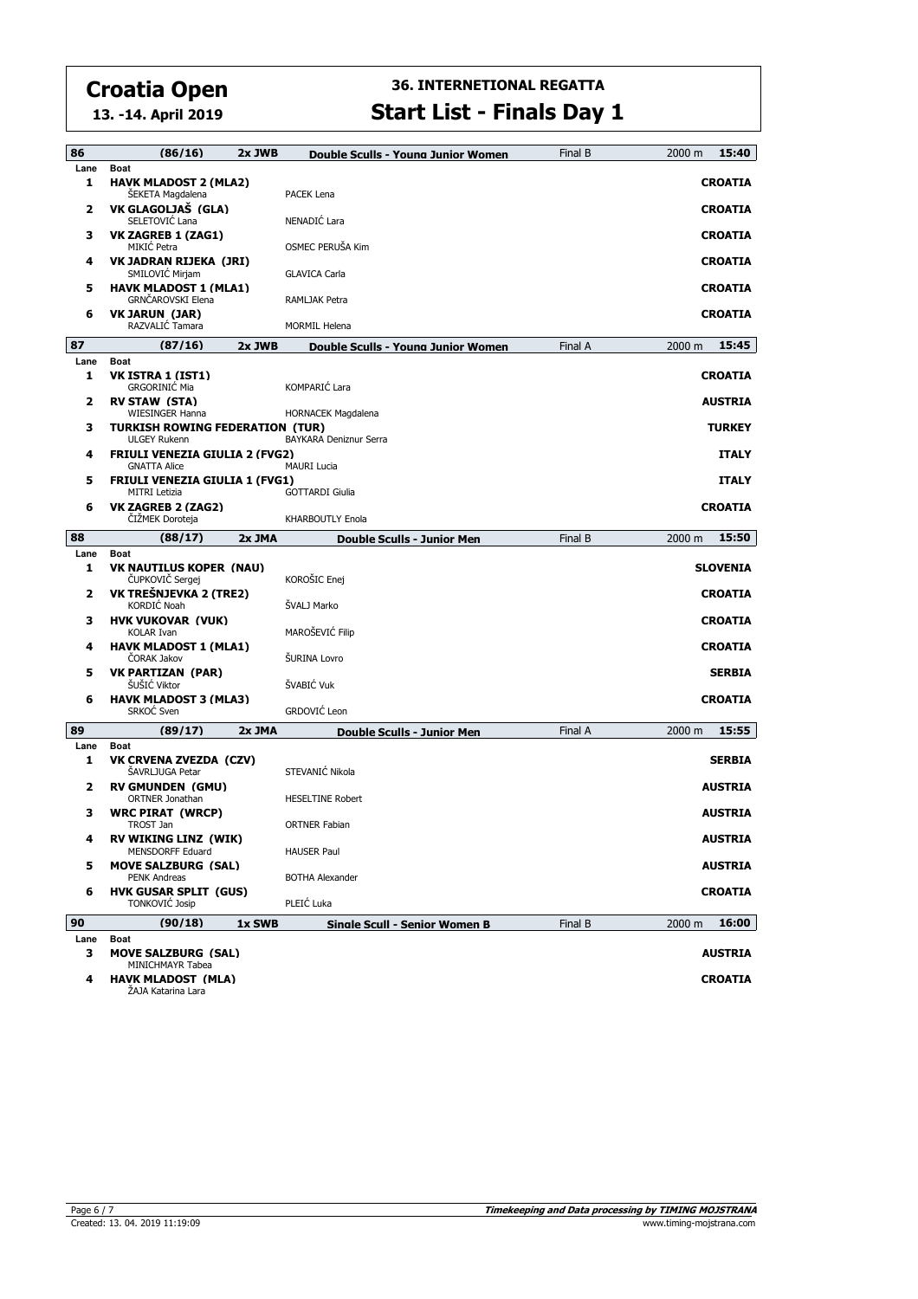**13. -14. April 2019**

#### **36. INTERNETIONAL REGATTA Start List - Finals Day 1**

| Lane<br><b>Boat</b><br><b>HAVK MLADOST 2 (MLA2)</b><br>1<br><b>CROATIA</b><br>ŠEKETA Magdalena<br>PACEK Lena<br>VK GLAGOLJAŠ (GLA)<br>2<br><b>CROATIA</b><br>SELETOVIĆ Lana<br>NENADIĆ Lara<br><b>VK ZAGREB 1 (ZAG1)</b><br>з<br><b>CROATIA</b><br>MIKIĆ Petra<br>OSMEC PERUŠA Kim<br>VK JADRAN RIJEKA (JRI)<br><b>CROATIA</b><br>4<br>SMILOVIC Mirjam<br><b>GLAVICA Carla</b><br><b>HAVK MLADOST 1 (MLA1)</b><br>5<br><b>CROATIA</b><br>GRNČAROVSKI Elena<br>RAMLJAK Petra<br><b>VK JARUN (JAR)</b><br><b>CROATIA</b><br>6<br>RAZVALIĆ Tamara<br><b>MORMIL Helena</b><br>87<br>(87/16)<br>15:45<br>2x JWB<br>2000 m<br>Double Sculls - Young Junior Women<br>Final A<br>Lane<br><b>Boat</b><br>1<br>VK ISTRA 1 (IST1)<br><b>CROATIA</b><br>KOMPARIĆ Lara<br><b>GRGORINIĆ Mia</b><br>2<br><b>RV STAW (STA)</b><br><b>AUSTRIA</b><br><b>WIESINGER Hanna</b><br>HORNACEK Magdalena<br>з<br><b>TURKISH ROWING FEDERATION (TUR)</b><br><b>ULGEY Rukenn</b><br>BAYKARA Deniznur Serra<br><b>ITALY</b><br><b>FRIULI VENEZIA GIULIA 2 (FVG2)</b><br>4<br><b>GNATTA Alice</b><br><b>MAURI Lucia</b><br>5<br><b>FRIULI VENEZIA GIULIA 1 (FVG1)</b><br><b>ITALY</b><br><b>MITRI Letizia</b><br><b>GOTTARDI Giulia</b><br>6<br>VK ZAGREB 2 (ZAG2)<br><b>CROATIA</b><br>ČIŽMEK Doroteja<br>KHARBOUTLY Enola<br>88<br>(88/17)<br>15:50<br>2x JMA<br>Final B<br>2000 m<br>Double Sculls - Junior Men<br>Lane<br><b>Boat</b><br>1<br><b>VK NAUTILUS KOPER (NAU)</b><br>KOROŠIC Enej<br>ČUPKOVIČ Sergej<br>VK TREŠNJEVKA 2 (TRE2)<br>2<br><b>CROATIA</b><br>KORDIĆ Noah<br>ŠVALJ Marko<br><b>HVK VUKOVAR (VUK)</b><br>з<br><b>CROATIA</b><br>MAROŠEVIĆ Filip<br><b>KOLAR Ivan</b><br><b>HAVK MLADOST 1 (MLA1)</b><br><b>CROATIA</b><br>4<br>ŠURINA Lovro<br><b>CORAK Jakov</b><br><b>VK PARTIZAN (PAR)</b><br>5<br><b>SERBIA</b><br>ŠVABIĆ Vuk<br>ŠUŠIĆ Viktor<br><b>HAVK MLADOST 3 (MLA3)</b><br><b>CROATIA</b><br>6<br>GRDOVIĆ Leon<br>SRKOĆ Sven<br>89<br>(89/17)<br>15:55<br>2x JMA<br>Final A<br>2000 m<br><b>Double Sculls - Junior Men</b><br>Lane<br><b>Boat</b><br>1<br>VK CRVENA ZVEZDA (CZV)<br><b>SERBIA</b><br>STEVANIĆ Nikola<br><b>SAVRLJUGA Petar</b><br><b>RV GMUNDEN (GMU)</b><br><b>AUSTRIA</b><br>2<br><b>ORTNER Jonathan</b><br><b>HESELTINE Robert</b><br><b>WRC PIRAT (WRCP)</b><br><b>AUSTRIA</b><br>з<br><b>TROST Jan</b><br><b>ORTNER Fabian</b><br>4<br><b>RV WIKING LINZ (WIK)</b><br>AUSTRIA<br>MENSDORFF Eduard<br><b>HAUSER Paul</b><br>5<br><b>MOVE SALZBURG (SAL)</b><br><b>PENK Andreas</b><br><b>BOTHA Alexander</b> | 86 | (86/16)                    | $2x$ JWB | Double Sculls - Young Junior Women | Final B | 15:40<br>2000 m |
|-----------------------------------------------------------------------------------------------------------------------------------------------------------------------------------------------------------------------------------------------------------------------------------------------------------------------------------------------------------------------------------------------------------------------------------------------------------------------------------------------------------------------------------------------------------------------------------------------------------------------------------------------------------------------------------------------------------------------------------------------------------------------------------------------------------------------------------------------------------------------------------------------------------------------------------------------------------------------------------------------------------------------------------------------------------------------------------------------------------------------------------------------------------------------------------------------------------------------------------------------------------------------------------------------------------------------------------------------------------------------------------------------------------------------------------------------------------------------------------------------------------------------------------------------------------------------------------------------------------------------------------------------------------------------------------------------------------------------------------------------------------------------------------------------------------------------------------------------------------------------------------------------------------------------------------------------------------------------------------------------------------------------------------------------------------------------------------------------------------------------------------------------------------------------------------------------------------------------------------------------------------------------------------------------------------------------------------------------------------------------------------------------------------------------------------------------------------------------------------------------------------------------------------------|----|----------------------------|----------|------------------------------------|---------|-----------------|
|                                                                                                                                                                                                                                                                                                                                                                                                                                                                                                                                                                                                                                                                                                                                                                                                                                                                                                                                                                                                                                                                                                                                                                                                                                                                                                                                                                                                                                                                                                                                                                                                                                                                                                                                                                                                                                                                                                                                                                                                                                                                                                                                                                                                                                                                                                                                                                                                                                                                                                                                         |    |                            |          |                                    |         |                 |
|                                                                                                                                                                                                                                                                                                                                                                                                                                                                                                                                                                                                                                                                                                                                                                                                                                                                                                                                                                                                                                                                                                                                                                                                                                                                                                                                                                                                                                                                                                                                                                                                                                                                                                                                                                                                                                                                                                                                                                                                                                                                                                                                                                                                                                                                                                                                                                                                                                                                                                                                         |    |                            |          |                                    |         |                 |
|                                                                                                                                                                                                                                                                                                                                                                                                                                                                                                                                                                                                                                                                                                                                                                                                                                                                                                                                                                                                                                                                                                                                                                                                                                                                                                                                                                                                                                                                                                                                                                                                                                                                                                                                                                                                                                                                                                                                                                                                                                                                                                                                                                                                                                                                                                                                                                                                                                                                                                                                         |    |                            |          |                                    |         |                 |
|                                                                                                                                                                                                                                                                                                                                                                                                                                                                                                                                                                                                                                                                                                                                                                                                                                                                                                                                                                                                                                                                                                                                                                                                                                                                                                                                                                                                                                                                                                                                                                                                                                                                                                                                                                                                                                                                                                                                                                                                                                                                                                                                                                                                                                                                                                                                                                                                                                                                                                                                         |    |                            |          |                                    |         |                 |
|                                                                                                                                                                                                                                                                                                                                                                                                                                                                                                                                                                                                                                                                                                                                                                                                                                                                                                                                                                                                                                                                                                                                                                                                                                                                                                                                                                                                                                                                                                                                                                                                                                                                                                                                                                                                                                                                                                                                                                                                                                                                                                                                                                                                                                                                                                                                                                                                                                                                                                                                         |    |                            |          |                                    |         |                 |
|                                                                                                                                                                                                                                                                                                                                                                                                                                                                                                                                                                                                                                                                                                                                                                                                                                                                                                                                                                                                                                                                                                                                                                                                                                                                                                                                                                                                                                                                                                                                                                                                                                                                                                                                                                                                                                                                                                                                                                                                                                                                                                                                                                                                                                                                                                                                                                                                                                                                                                                                         |    |                            |          |                                    |         |                 |
|                                                                                                                                                                                                                                                                                                                                                                                                                                                                                                                                                                                                                                                                                                                                                                                                                                                                                                                                                                                                                                                                                                                                                                                                                                                                                                                                                                                                                                                                                                                                                                                                                                                                                                                                                                                                                                                                                                                                                                                                                                                                                                                                                                                                                                                                                                                                                                                                                                                                                                                                         |    |                            |          |                                    |         |                 |
|                                                                                                                                                                                                                                                                                                                                                                                                                                                                                                                                                                                                                                                                                                                                                                                                                                                                                                                                                                                                                                                                                                                                                                                                                                                                                                                                                                                                                                                                                                                                                                                                                                                                                                                                                                                                                                                                                                                                                                                                                                                                                                                                                                                                                                                                                                                                                                                                                                                                                                                                         |    |                            |          |                                    |         |                 |
|                                                                                                                                                                                                                                                                                                                                                                                                                                                                                                                                                                                                                                                                                                                                                                                                                                                                                                                                                                                                                                                                                                                                                                                                                                                                                                                                                                                                                                                                                                                                                                                                                                                                                                                                                                                                                                                                                                                                                                                                                                                                                                                                                                                                                                                                                                                                                                                                                                                                                                                                         |    |                            |          |                                    |         |                 |
|                                                                                                                                                                                                                                                                                                                                                                                                                                                                                                                                                                                                                                                                                                                                                                                                                                                                                                                                                                                                                                                                                                                                                                                                                                                                                                                                                                                                                                                                                                                                                                                                                                                                                                                                                                                                                                                                                                                                                                                                                                                                                                                                                                                                                                                                                                                                                                                                                                                                                                                                         |    |                            |          |                                    |         |                 |
|                                                                                                                                                                                                                                                                                                                                                                                                                                                                                                                                                                                                                                                                                                                                                                                                                                                                                                                                                                                                                                                                                                                                                                                                                                                                                                                                                                                                                                                                                                                                                                                                                                                                                                                                                                                                                                                                                                                                                                                                                                                                                                                                                                                                                                                                                                                                                                                                                                                                                                                                         |    |                            |          |                                    |         |                 |
|                                                                                                                                                                                                                                                                                                                                                                                                                                                                                                                                                                                                                                                                                                                                                                                                                                                                                                                                                                                                                                                                                                                                                                                                                                                                                                                                                                                                                                                                                                                                                                                                                                                                                                                                                                                                                                                                                                                                                                                                                                                                                                                                                                                                                                                                                                                                                                                                                                                                                                                                         |    |                            |          |                                    |         |                 |
|                                                                                                                                                                                                                                                                                                                                                                                                                                                                                                                                                                                                                                                                                                                                                                                                                                                                                                                                                                                                                                                                                                                                                                                                                                                                                                                                                                                                                                                                                                                                                                                                                                                                                                                                                                                                                                                                                                                                                                                                                                                                                                                                                                                                                                                                                                                                                                                                                                                                                                                                         |    |                            |          |                                    |         | <b>TURKEY</b>   |
|                                                                                                                                                                                                                                                                                                                                                                                                                                                                                                                                                                                                                                                                                                                                                                                                                                                                                                                                                                                                                                                                                                                                                                                                                                                                                                                                                                                                                                                                                                                                                                                                                                                                                                                                                                                                                                                                                                                                                                                                                                                                                                                                                                                                                                                                                                                                                                                                                                                                                                                                         |    |                            |          |                                    |         |                 |
|                                                                                                                                                                                                                                                                                                                                                                                                                                                                                                                                                                                                                                                                                                                                                                                                                                                                                                                                                                                                                                                                                                                                                                                                                                                                                                                                                                                                                                                                                                                                                                                                                                                                                                                                                                                                                                                                                                                                                                                                                                                                                                                                                                                                                                                                                                                                                                                                                                                                                                                                         |    |                            |          |                                    |         |                 |
|                                                                                                                                                                                                                                                                                                                                                                                                                                                                                                                                                                                                                                                                                                                                                                                                                                                                                                                                                                                                                                                                                                                                                                                                                                                                                                                                                                                                                                                                                                                                                                                                                                                                                                                                                                                                                                                                                                                                                                                                                                                                                                                                                                                                                                                                                                                                                                                                                                                                                                                                         |    |                            |          |                                    |         |                 |
|                                                                                                                                                                                                                                                                                                                                                                                                                                                                                                                                                                                                                                                                                                                                                                                                                                                                                                                                                                                                                                                                                                                                                                                                                                                                                                                                                                                                                                                                                                                                                                                                                                                                                                                                                                                                                                                                                                                                                                                                                                                                                                                                                                                                                                                                                                                                                                                                                                                                                                                                         |    |                            |          |                                    |         |                 |
|                                                                                                                                                                                                                                                                                                                                                                                                                                                                                                                                                                                                                                                                                                                                                                                                                                                                                                                                                                                                                                                                                                                                                                                                                                                                                                                                                                                                                                                                                                                                                                                                                                                                                                                                                                                                                                                                                                                                                                                                                                                                                                                                                                                                                                                                                                                                                                                                                                                                                                                                         |    |                            |          |                                    |         |                 |
|                                                                                                                                                                                                                                                                                                                                                                                                                                                                                                                                                                                                                                                                                                                                                                                                                                                                                                                                                                                                                                                                                                                                                                                                                                                                                                                                                                                                                                                                                                                                                                                                                                                                                                                                                                                                                                                                                                                                                                                                                                                                                                                                                                                                                                                                                                                                                                                                                                                                                                                                         |    |                            |          |                                    |         |                 |
|                                                                                                                                                                                                                                                                                                                                                                                                                                                                                                                                                                                                                                                                                                                                                                                                                                                                                                                                                                                                                                                                                                                                                                                                                                                                                                                                                                                                                                                                                                                                                                                                                                                                                                                                                                                                                                                                                                                                                                                                                                                                                                                                                                                                                                                                                                                                                                                                                                                                                                                                         |    |                            |          |                                    |         | <b>SLOVENIA</b> |
|                                                                                                                                                                                                                                                                                                                                                                                                                                                                                                                                                                                                                                                                                                                                                                                                                                                                                                                                                                                                                                                                                                                                                                                                                                                                                                                                                                                                                                                                                                                                                                                                                                                                                                                                                                                                                                                                                                                                                                                                                                                                                                                                                                                                                                                                                                                                                                                                                                                                                                                                         |    |                            |          |                                    |         |                 |
|                                                                                                                                                                                                                                                                                                                                                                                                                                                                                                                                                                                                                                                                                                                                                                                                                                                                                                                                                                                                                                                                                                                                                                                                                                                                                                                                                                                                                                                                                                                                                                                                                                                                                                                                                                                                                                                                                                                                                                                                                                                                                                                                                                                                                                                                                                                                                                                                                                                                                                                                         |    |                            |          |                                    |         |                 |
|                                                                                                                                                                                                                                                                                                                                                                                                                                                                                                                                                                                                                                                                                                                                                                                                                                                                                                                                                                                                                                                                                                                                                                                                                                                                                                                                                                                                                                                                                                                                                                                                                                                                                                                                                                                                                                                                                                                                                                                                                                                                                                                                                                                                                                                                                                                                                                                                                                                                                                                                         |    |                            |          |                                    |         |                 |
|                                                                                                                                                                                                                                                                                                                                                                                                                                                                                                                                                                                                                                                                                                                                                                                                                                                                                                                                                                                                                                                                                                                                                                                                                                                                                                                                                                                                                                                                                                                                                                                                                                                                                                                                                                                                                                                                                                                                                                                                                                                                                                                                                                                                                                                                                                                                                                                                                                                                                                                                         |    |                            |          |                                    |         |                 |
|                                                                                                                                                                                                                                                                                                                                                                                                                                                                                                                                                                                                                                                                                                                                                                                                                                                                                                                                                                                                                                                                                                                                                                                                                                                                                                                                                                                                                                                                                                                                                                                                                                                                                                                                                                                                                                                                                                                                                                                                                                                                                                                                                                                                                                                                                                                                                                                                                                                                                                                                         |    |                            |          |                                    |         |                 |
|                                                                                                                                                                                                                                                                                                                                                                                                                                                                                                                                                                                                                                                                                                                                                                                                                                                                                                                                                                                                                                                                                                                                                                                                                                                                                                                                                                                                                                                                                                                                                                                                                                                                                                                                                                                                                                                                                                                                                                                                                                                                                                                                                                                                                                                                                                                                                                                                                                                                                                                                         |    |                            |          |                                    |         |                 |
|                                                                                                                                                                                                                                                                                                                                                                                                                                                                                                                                                                                                                                                                                                                                                                                                                                                                                                                                                                                                                                                                                                                                                                                                                                                                                                                                                                                                                                                                                                                                                                                                                                                                                                                                                                                                                                                                                                                                                                                                                                                                                                                                                                                                                                                                                                                                                                                                                                                                                                                                         |    |                            |          |                                    |         |                 |
|                                                                                                                                                                                                                                                                                                                                                                                                                                                                                                                                                                                                                                                                                                                                                                                                                                                                                                                                                                                                                                                                                                                                                                                                                                                                                                                                                                                                                                                                                                                                                                                                                                                                                                                                                                                                                                                                                                                                                                                                                                                                                                                                                                                                                                                                                                                                                                                                                                                                                                                                         |    |                            |          |                                    |         |                 |
|                                                                                                                                                                                                                                                                                                                                                                                                                                                                                                                                                                                                                                                                                                                                                                                                                                                                                                                                                                                                                                                                                                                                                                                                                                                                                                                                                                                                                                                                                                                                                                                                                                                                                                                                                                                                                                                                                                                                                                                                                                                                                                                                                                                                                                                                                                                                                                                                                                                                                                                                         |    |                            |          |                                    |         |                 |
|                                                                                                                                                                                                                                                                                                                                                                                                                                                                                                                                                                                                                                                                                                                                                                                                                                                                                                                                                                                                                                                                                                                                                                                                                                                                                                                                                                                                                                                                                                                                                                                                                                                                                                                                                                                                                                                                                                                                                                                                                                                                                                                                                                                                                                                                                                                                                                                                                                                                                                                                         |    |                            |          |                                    |         |                 |
|                                                                                                                                                                                                                                                                                                                                                                                                                                                                                                                                                                                                                                                                                                                                                                                                                                                                                                                                                                                                                                                                                                                                                                                                                                                                                                                                                                                                                                                                                                                                                                                                                                                                                                                                                                                                                                                                                                                                                                                                                                                                                                                                                                                                                                                                                                                                                                                                                                                                                                                                         |    |                            |          |                                    |         |                 |
|                                                                                                                                                                                                                                                                                                                                                                                                                                                                                                                                                                                                                                                                                                                                                                                                                                                                                                                                                                                                                                                                                                                                                                                                                                                                                                                                                                                                                                                                                                                                                                                                                                                                                                                                                                                                                                                                                                                                                                                                                                                                                                                                                                                                                                                                                                                                                                                                                                                                                                                                         |    |                            |          |                                    |         |                 |
|                                                                                                                                                                                                                                                                                                                                                                                                                                                                                                                                                                                                                                                                                                                                                                                                                                                                                                                                                                                                                                                                                                                                                                                                                                                                                                                                                                                                                                                                                                                                                                                                                                                                                                                                                                                                                                                                                                                                                                                                                                                                                                                                                                                                                                                                                                                                                                                                                                                                                                                                         |    |                            |          |                                    |         |                 |
|                                                                                                                                                                                                                                                                                                                                                                                                                                                                                                                                                                                                                                                                                                                                                                                                                                                                                                                                                                                                                                                                                                                                                                                                                                                                                                                                                                                                                                                                                                                                                                                                                                                                                                                                                                                                                                                                                                                                                                                                                                                                                                                                                                                                                                                                                                                                                                                                                                                                                                                                         |    |                            |          |                                    |         |                 |
| <b>HVK GUSAR SPLIT (GUS)</b>                                                                                                                                                                                                                                                                                                                                                                                                                                                                                                                                                                                                                                                                                                                                                                                                                                                                                                                                                                                                                                                                                                                                                                                                                                                                                                                                                                                                                                                                                                                                                                                                                                                                                                                                                                                                                                                                                                                                                                                                                                                                                                                                                                                                                                                                                                                                                                                                                                                                                                            |    |                            |          |                                    |         | <b>AUSTRIA</b>  |
| PLEIC Luka<br><b>TONKOVIC Josip</b>                                                                                                                                                                                                                                                                                                                                                                                                                                                                                                                                                                                                                                                                                                                                                                                                                                                                                                                                                                                                                                                                                                                                                                                                                                                                                                                                                                                                                                                                                                                                                                                                                                                                                                                                                                                                                                                                                                                                                                                                                                                                                                                                                                                                                                                                                                                                                                                                                                                                                                     |    |                            |          |                                    |         |                 |
| 90<br>(90/18)<br>1x SWB<br>Final B<br>2000 m<br><b>Single Scull - Senior Women B</b>                                                                                                                                                                                                                                                                                                                                                                                                                                                                                                                                                                                                                                                                                                                                                                                                                                                                                                                                                                                                                                                                                                                                                                                                                                                                                                                                                                                                                                                                                                                                                                                                                                                                                                                                                                                                                                                                                                                                                                                                                                                                                                                                                                                                                                                                                                                                                                                                                                                    | 6  |                            |          |                                    |         | <b>CROATIA</b>  |
| Lane<br><b>Boat</b>                                                                                                                                                                                                                                                                                                                                                                                                                                                                                                                                                                                                                                                                                                                                                                                                                                                                                                                                                                                                                                                                                                                                                                                                                                                                                                                                                                                                                                                                                                                                                                                                                                                                                                                                                                                                                                                                                                                                                                                                                                                                                                                                                                                                                                                                                                                                                                                                                                                                                                                     |    |                            |          |                                    |         | 16:00           |
|                                                                                                                                                                                                                                                                                                                                                                                                                                                                                                                                                                                                                                                                                                                                                                                                                                                                                                                                                                                                                                                                                                                                                                                                                                                                                                                                                                                                                                                                                                                                                                                                                                                                                                                                                                                                                                                                                                                                                                                                                                                                                                                                                                                                                                                                                                                                                                                                                                                                                                                                         | з  | <b>MOVE SALZBURG (SAL)</b> |          |                                    |         | <b>AUSTRIA</b>  |
|                                                                                                                                                                                                                                                                                                                                                                                                                                                                                                                                                                                                                                                                                                                                                                                                                                                                                                                                                                                                                                                                                                                                                                                                                                                                                                                                                                                                                                                                                                                                                                                                                                                                                                                                                                                                                                                                                                                                                                                                                                                                                                                                                                                                                                                                                                                                                                                                                                                                                                                                         |    |                            |          |                                    |         |                 |

ŽAJA Katarina Lara